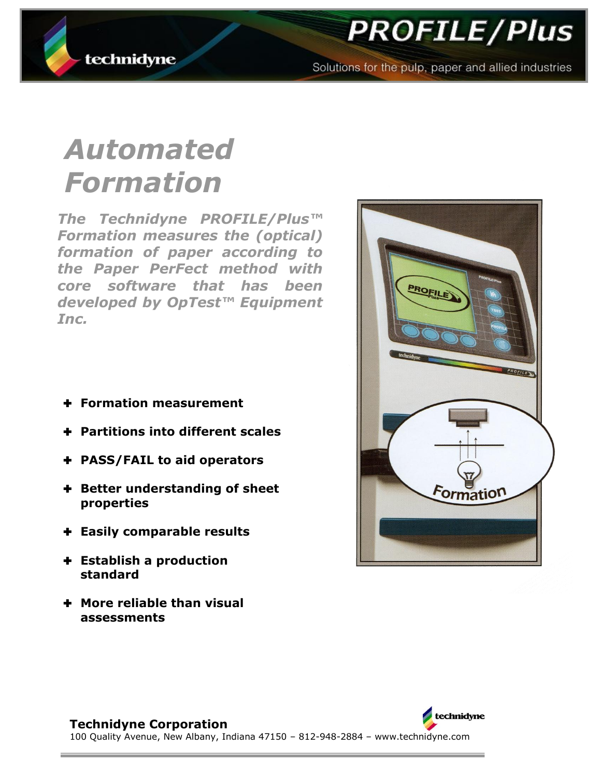



Solutions for the pulp, paper and allied industries

# *Automated Formation*

*The Technidyne PROFILE/Plus™ Formation measures the (optical) formation of paper according to the Paper PerFect method with core software that has been developed by OpTest™ Equipment Inc.* 

- **Formation measurement**
- **Partitions into different scales**
- **PASS/FAIL to aid operators**
- **Better understanding of sheet properties**
- **Easily comparable results**
- **Establish a production standard**
- **More reliable than visual assessments**



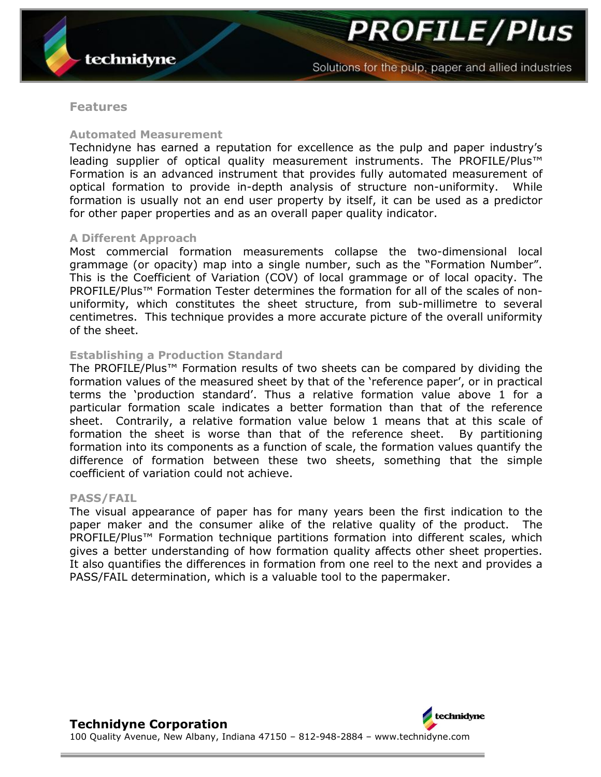**PROFILE/Plus** 

## **Features**

## **Automated Measurement**

Technidyne has earned a reputation for excellence as the pulp and paper industry"s leading supplier of optical quality measurement instruments. The PROFILE/Plus™ Formation is an advanced instrument that provides fully automated measurement of optical formation to provide in-depth analysis of structure non-uniformity. While formation is usually not an end user property by itself, it can be used as a predictor for other paper properties and as an overall paper quality indicator.

## **A Different Approach**

Most commercial formation measurements collapse the two-dimensional local grammage (or opacity) map into a single number, such as the "Formation Number". This is the Coefficient of Variation (COV) of local grammage or of local opacity. The PROFILE/Plus<sup>™</sup> Formation Tester determines the formation for all of the scales of nonuniformity, which constitutes the sheet structure, from sub-millimetre to several centimetres. This technique provides a more accurate picture of the overall uniformity of the sheet.

## **Establishing a Production Standard**

The PROFILE/Plus™ Formation results of two sheets can be compared by dividing the formation values of the measured sheet by that of the 'reference paper', or in practical terms the "production standard". Thus a relative formation value above 1 for a particular formation scale indicates a better formation than that of the reference sheet. Contrarily, a relative formation value below 1 means that at this scale of formation the sheet is worse than that of the reference sheet. By partitioning formation into its components as a function of scale, the formation values quantify the difference of formation between these two sheets, something that the simple coefficient of variation could not achieve.

## **PASS/FAIL**

The visual appearance of paper has for many years been the first indication to the paper maker and the consumer alike of the relative quality of the product. The PROFILE/Plus™ Formation technique partitions formation into different scales, which gives a better understanding of how formation quality affects other sheet properties. It also quantifies the differences in formation from one reel to the next and provides a PASS/FAIL determination, which is a valuable tool to the papermaker.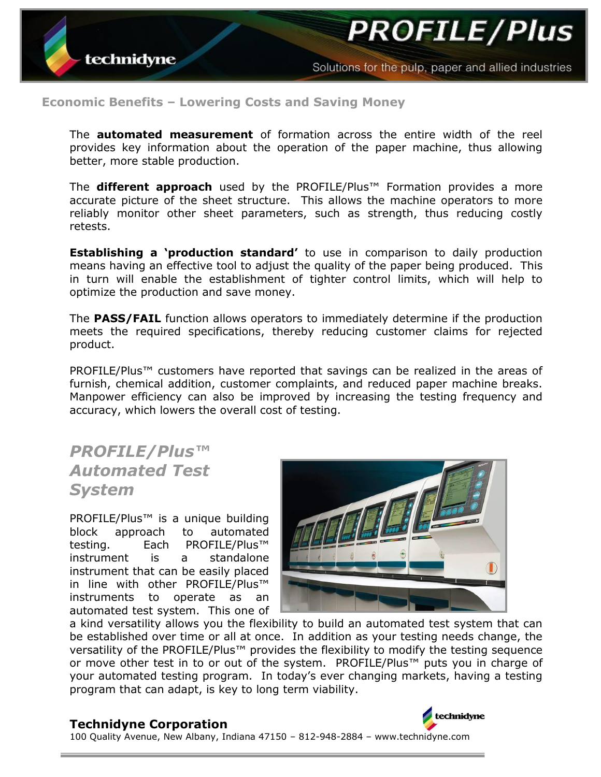Solutions for the pulp, paper and allied industries

## **Economic Benefits – Lowering Costs and Saving Money**

The **automated measurement** of formation across the entire width of the reel provides key information about the operation of the paper machine, thus allowing better, more stable production.

The **different approach** used by the PROFILE/Plus™ Formation provides a more accurate picture of the sheet structure. This allows the machine operators to more reliably monitor other sheet parameters, such as strength, thus reducing costly retests.

**Establishing a 'production standard'** to use in comparison to daily production means having an effective tool to adjust the quality of the paper being produced. This in turn will enable the establishment of tighter control limits, which will help to optimize the production and save money.

The **PASS/FAIL** function allows operators to immediately determine if the production meets the required specifications, thereby reducing customer claims for rejected product.

PROFILE/Plus™ customers have reported that savings can be realized in the areas of furnish, chemical addition, customer complaints, and reduced paper machine breaks. Manpower efficiency can also be improved by increasing the testing frequency and accuracy, which lowers the overall cost of testing.

## *PROFILE/Plus™ Automated Test System*

PROFILE/Plus<sup>™</sup> is a unique building block approach to automated testing. Each PROFILE/Plus<sup>™</sup> instrument is a standalone instrument that can be easily placed in line with other PROFILE/Plus™ instruments to operate as an automated test system. This one of



a kind versatility allows you the flexibility to build an automated test system that can be established over time or all at once. In addition as your testing needs change, the versatility of the PROFILE/Plus™ provides the flexibility to modify the testing sequence or move other test in to or out of the system. PROFILE/Plus™ puts you in charge of your automated testing program. In today"s ever changing markets, having a testing program that can adapt, is key to long term viability.

## **Technidyne Corporation**



100 Quality Avenue, New Albany, Indiana 47150 – 812-948-2884 – www.technidyne.com